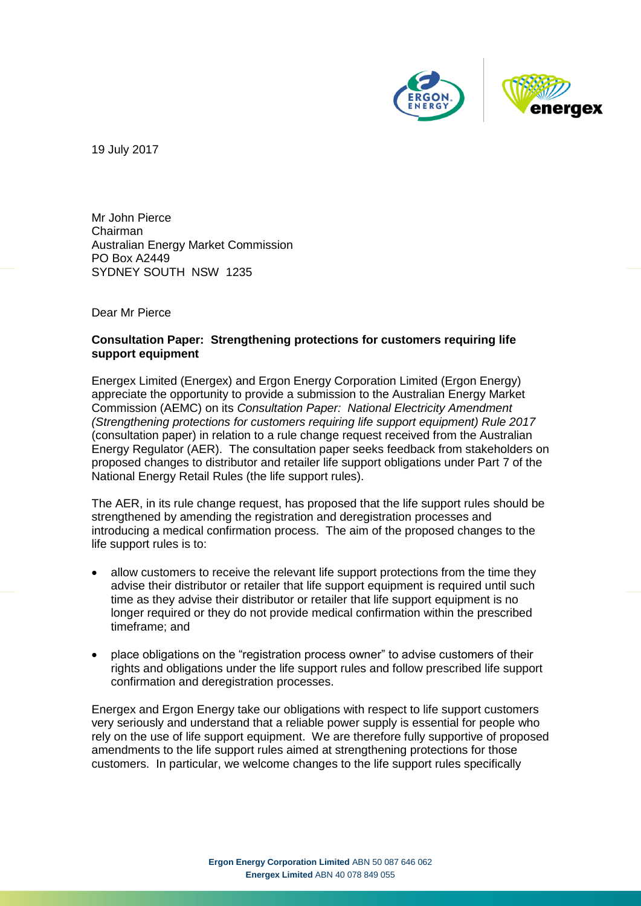

19 July 2017

Mr John Pierce Chairman Australian Energy Market Commission PO Box A2449 SYDNEY SOUTH NSW 1235

Dear Mr Pierce

#### **Consultation Paper: Strengthening protections for customers requiring life support equipment**

Energex Limited (Energex) and Ergon Energy Corporation Limited (Ergon Energy) appreciate the opportunity to provide a submission to the Australian Energy Market Commission (AEMC) on its *Consultation Paper: National Electricity Amendment (Strengthening protections for customers requiring life support equipment) Rule 2017* (consultation paper) in relation to a rule change request received from the Australian Energy Regulator (AER). The consultation paper seeks feedback from stakeholders on proposed changes to distributor and retailer life support obligations under Part 7 of the National Energy Retail Rules (the life support rules).

The AER, in its rule change request, has proposed that the life support rules should be strengthened by amending the registration and deregistration processes and introducing a medical confirmation process. The aim of the proposed changes to the life support rules is to:

- allow customers to receive the relevant life support protections from the time they advise their distributor or retailer that life support equipment is required until such time as they advise their distributor or retailer that life support equipment is no longer required or they do not provide medical confirmation within the prescribed timeframe; and
- place obligations on the "registration process owner" to advise customers of their rights and obligations under the life support rules and follow prescribed life support confirmation and deregistration processes.

Energex and Ergon Energy take our obligations with respect to life support customers very seriously and understand that a reliable power supply is essential for people who rely on the use of life support equipment. We are therefore fully supportive of proposed amendments to the life support rules aimed at strengthening protections for those customers. In particular, we welcome changes to the life support rules specifically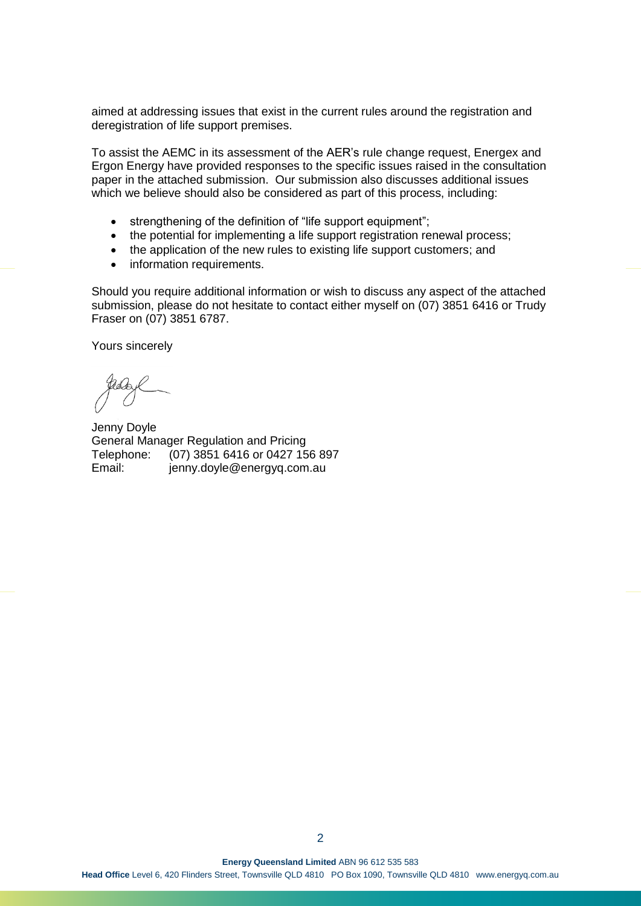aimed at addressing issues that exist in the current rules around the registration and deregistration of life support premises.

To assist the AEMC in its assessment of the AER's rule change request, Energex and Ergon Energy have provided responses to the specific issues raised in the consultation paper in the attached submission. Our submission also discusses additional issues which we believe should also be considered as part of this process, including:

- strengthening of the definition of "life support equipment";
- the potential for implementing a life support registration renewal process;
- the application of the new rules to existing life support customers; and
- information requirements.

Should you require additional information or wish to discuss any aspect of the attached submission, please do not hesitate to contact either myself on (07) 3851 6416 or Trudy Fraser on (07) 3851 6787.

Yours sincerely

Jenny Doyle General Manager Regulation and Pricing Telephone: (07) 3851 6416 or 0427 156 897 Email: jenny.doyle@energyq.com.au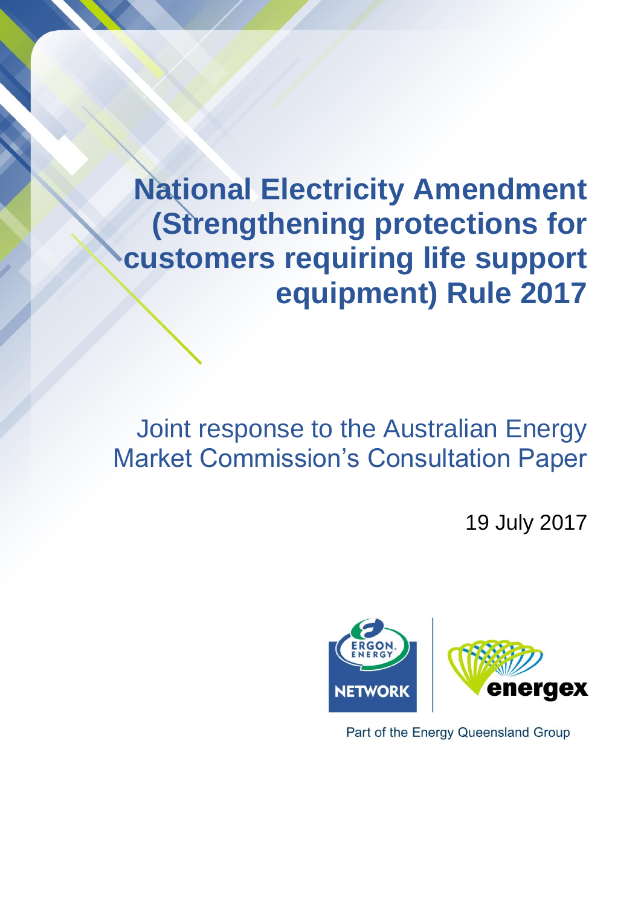**National Electricity Amendment (Strengthening protections for customers requiring life support equipment) Rule 2017**

# Joint response to the Australian Energy Market Commission's Consultation Paper

19 July 2017



Part of the Energy Queensland Group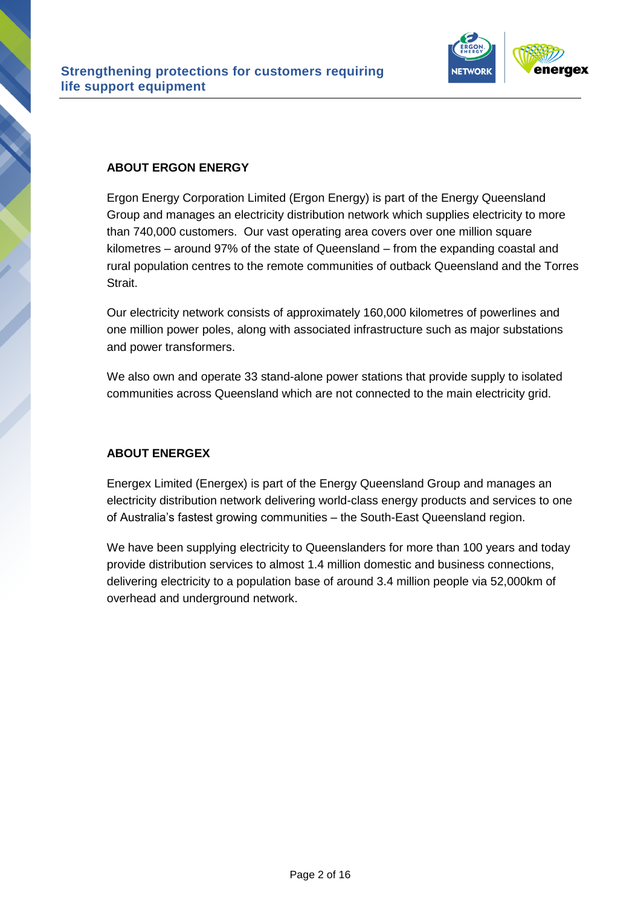

#### **ABOUT ERGON ENERGY**

Ergon Energy Corporation Limited (Ergon Energy) is part of the Energy Queensland Group and manages an electricity distribution network which supplies electricity to more than 740,000 customers. Our vast operating area covers over one million square kilometres – around 97% of the state of Queensland – from the expanding coastal and rural population centres to the remote communities of outback Queensland and the Torres Strait.

Our electricity network consists of approximately 160,000 kilometres of powerlines and one million power poles, along with associated infrastructure such as major substations and power transformers.

We also own and operate 33 stand-alone power stations that provide supply to isolated communities across Queensland which are not connected to the main electricity grid.

#### **ABOUT ENERGEX**

Energex Limited (Energex) is part of the Energy Queensland Group and manages an electricity distribution network delivering world-class energy products and services to one of Australia's fastest growing communities – the South-East Queensland region.

We have been supplying electricity to Queenslanders for more than 100 years and today provide distribution services to almost 1.4 million domestic and business connections, delivering electricity to a population base of around 3.4 million people via 52,000km of overhead and underground network.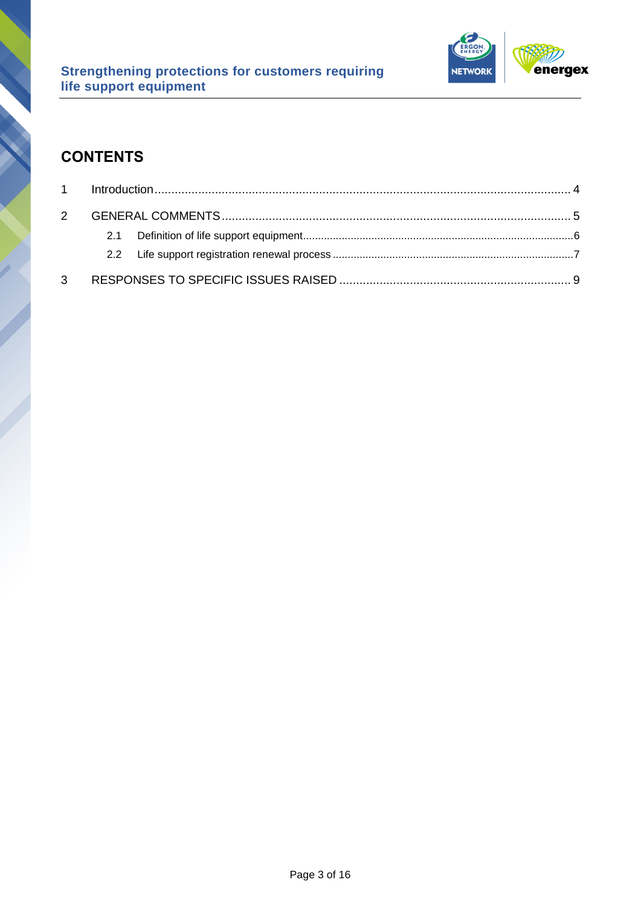

## **CONTENTS**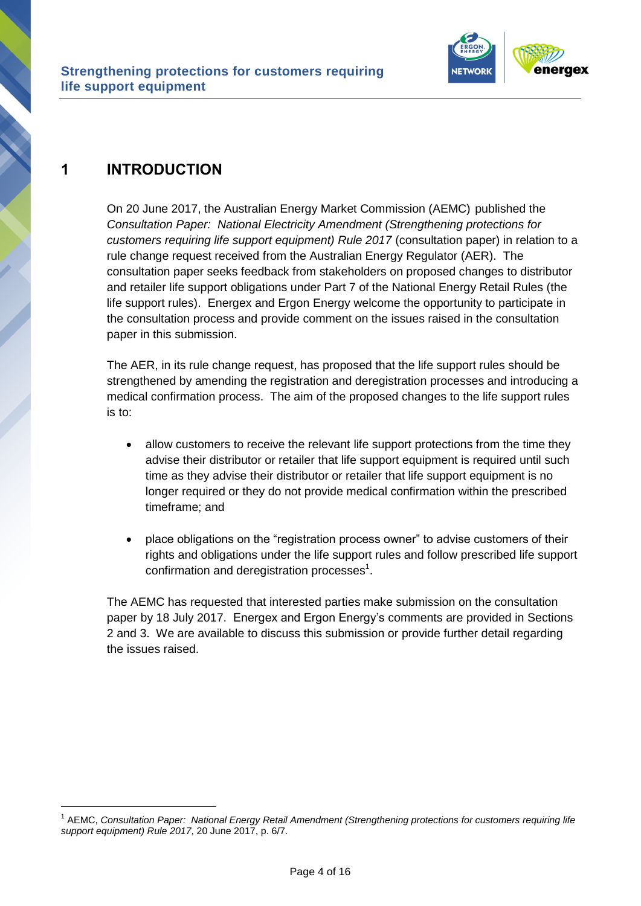

## <span id="page-5-0"></span>**1 INTRODUCTION**

1

On 20 June 2017, the Australian Energy Market Commission (AEMC) published the *Consultation Paper: National Electricity Amendment (Strengthening protections for customers requiring life support equipment) Rule 2017* (consultation paper) in relation to a rule change request received from the Australian Energy Regulator (AER). The consultation paper seeks feedback from stakeholders on proposed changes to distributor and retailer life support obligations under Part 7 of the National Energy Retail Rules (the life support rules). Energex and Ergon Energy welcome the opportunity to participate in the consultation process and provide comment on the issues raised in the consultation paper in this submission.

The AER, in its rule change request, has proposed that the life support rules should be strengthened by amending the registration and deregistration processes and introducing a medical confirmation process. The aim of the proposed changes to the life support rules is to:

- allow customers to receive the relevant life support protections from the time they advise their distributor or retailer that life support equipment is required until such time as they advise their distributor or retailer that life support equipment is no longer required or they do not provide medical confirmation within the prescribed timeframe; and
- place obligations on the "registration process owner" to advise customers of their rights and obligations under the life support rules and follow prescribed life support confirmation and deregistration processes $^1$ .

The AEMC has requested that interested parties make submission on the consultation paper by 18 July 2017. Energex and Ergon Energy's comments are provided in Sections 2 and 3. We are available to discuss this submission or provide further detail regarding the issues raised.

<sup>1</sup> AEMC, *Consultation Paper: National Energy Retail Amendment (Strengthening protections for customers requiring life support equipment) Rule 2017*, 20 June 2017, p. 6/7.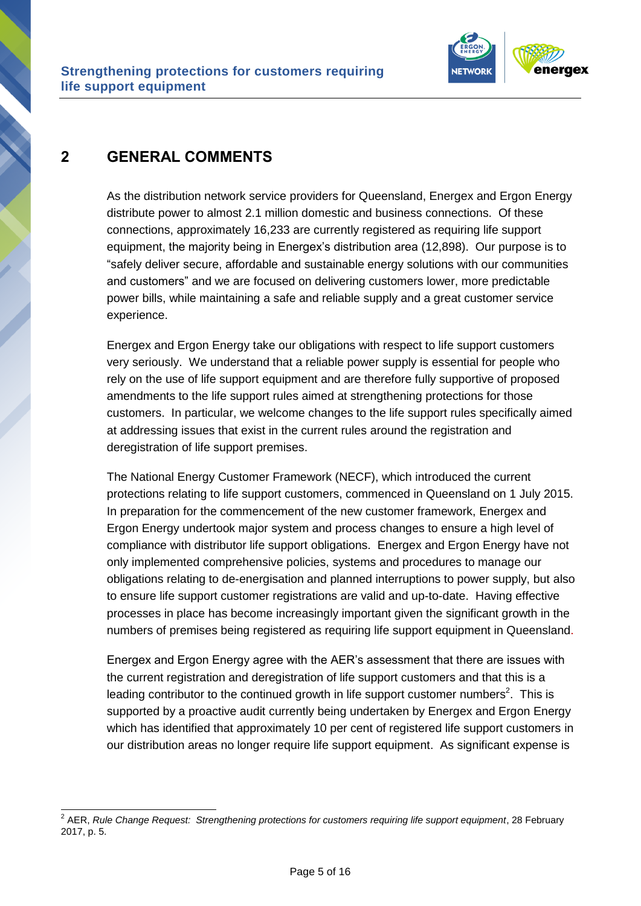

## <span id="page-6-0"></span>**2 GENERAL COMMENTS**

1

As the distribution network service providers for Queensland, Energex and Ergon Energy distribute power to almost 2.1 million domestic and business connections. Of these connections, approximately 16,233 are currently registered as requiring life support equipment, the majority being in Energex's distribution area (12,898). Our purpose is to "safely deliver secure, affordable and sustainable energy solutions with our communities and customers" and we are focused on delivering customers lower, more predictable power bills, while maintaining a safe and reliable supply and a great customer service experience.

Energex and Ergon Energy take our obligations with respect to life support customers very seriously. We understand that a reliable power supply is essential for people who rely on the use of life support equipment and are therefore fully supportive of proposed amendments to the life support rules aimed at strengthening protections for those customers. In particular, we welcome changes to the life support rules specifically aimed at addressing issues that exist in the current rules around the registration and deregistration of life support premises.

The National Energy Customer Framework (NECF), which introduced the current protections relating to life support customers, commenced in Queensland on 1 July 2015. In preparation for the commencement of the new customer framework, Energex and Ergon Energy undertook major system and process changes to ensure a high level of compliance with distributor life support obligations. Energex and Ergon Energy have not only implemented comprehensive policies, systems and procedures to manage our obligations relating to de-energisation and planned interruptions to power supply, but also to ensure life support customer registrations are valid and up-to-date. Having effective processes in place has become increasingly important given the significant growth in the numbers of premises being registered as requiring life support equipment in Queensland.

Energex and Ergon Energy agree with the AER's assessment that there are issues with the current registration and deregistration of life support customers and that this is a leading contributor to the continued growth in life support customer numbers<sup>2</sup>. This is supported by a proactive audit currently being undertaken by Energex and Ergon Energy which has identified that approximately 10 per cent of registered life support customers in our distribution areas no longer require life support equipment. As significant expense is

<sup>2</sup> AER, *Rule Change Request: Strengthening protections for customers requiring life support equipment*, 28 February 2017, p. 5.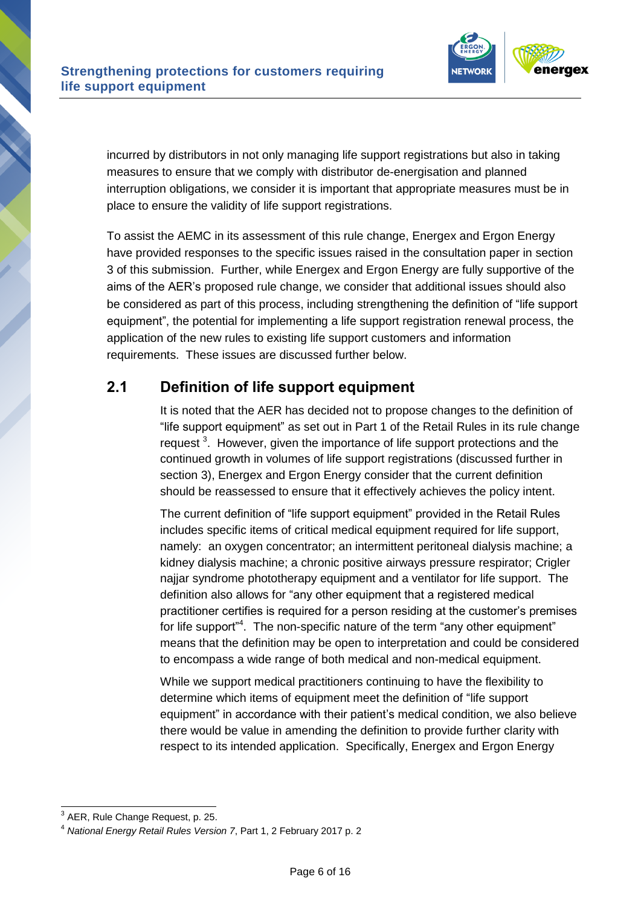

incurred by distributors in not only managing life support registrations but also in taking measures to ensure that we comply with distributor de-energisation and planned interruption obligations, we consider it is important that appropriate measures must be in place to ensure the validity of life support registrations.

To assist the AEMC in its assessment of this rule change, Energex and Ergon Energy have provided responses to the specific issues raised in the consultation paper in section 3 of this submission. Further, while Energex and Ergon Energy are fully supportive of the aims of the AER's proposed rule change, we consider that additional issues should also be considered as part of this process, including strengthening the definition of "life support equipment", the potential for implementing a life support registration renewal process, the application of the new rules to existing life support customers and information requirements. These issues are discussed further below.

## <span id="page-7-0"></span>**2.1 Definition of life support equipment**

It is noted that the AER has decided not to propose changes to the definition of "life support equipment" as set out in Part 1 of the Retail Rules in its rule change request<sup>3</sup>. However, given the importance of life support protections and the continued growth in volumes of life support registrations (discussed further in section 3), Energex and Ergon Energy consider that the current definition should be reassessed to ensure that it effectively achieves the policy intent.

The current definition of "life support equipment" provided in the Retail Rules includes specific items of critical medical equipment required for life support, namely: an oxygen concentrator; an intermittent peritoneal dialysis machine; a kidney dialysis machine; a chronic positive airways pressure respirator; Crigler najjar syndrome phototherapy equipment and a ventilator for life support. The definition also allows for "any other equipment that a registered medical practitioner certifies is required for a person residing at the customer's premises for life support"<sup>4</sup>. The non-specific nature of the term "any other equipment" means that the definition may be open to interpretation and could be considered to encompass a wide range of both medical and non-medical equipment.

While we support medical practitioners continuing to have the flexibility to determine which items of equipment meet the definition of "life support equipment" in accordance with their patient's medical condition, we also believe there would be value in amending the definition to provide further clarity with respect to its intended application. Specifically, Energex and Ergon Energy

1

 $3$  AER, Rule Change Request, p. 25.

<sup>4</sup> *National Energy Retail Rules Version 7*, Part 1, 2 February 2017 p. 2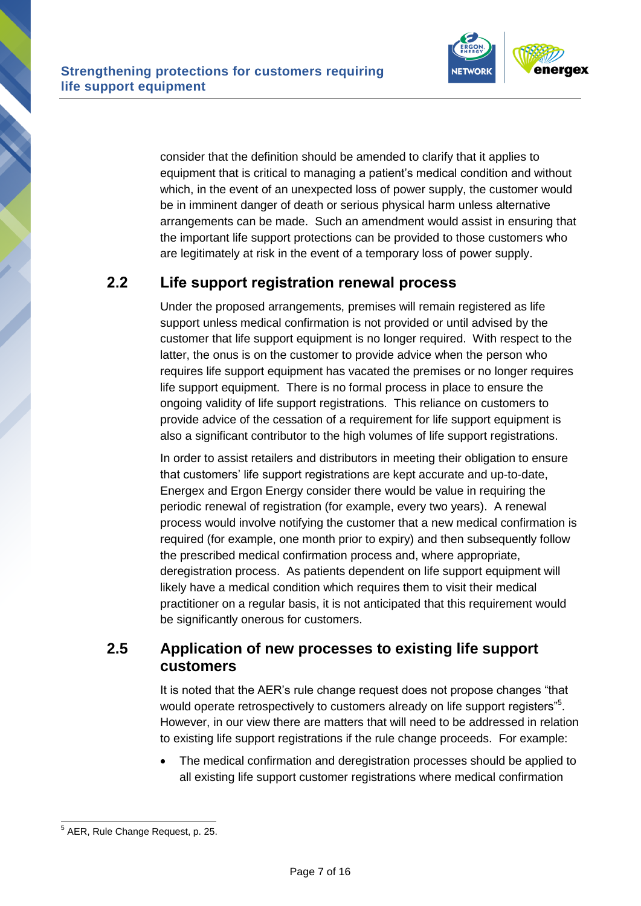

consider that the definition should be amended to clarify that it applies to equipment that is critical to managing a patient's medical condition and without which, in the event of an unexpected loss of power supply, the customer would be in imminent danger of death or serious physical harm unless alternative arrangements can be made. Such an amendment would assist in ensuring that the important life support protections can be provided to those customers who are legitimately at risk in the event of a temporary loss of power supply.

### <span id="page-8-0"></span>**2.2 Life support registration renewal process**

Under the proposed arrangements, premises will remain registered as life support unless medical confirmation is not provided or until advised by the customer that life support equipment is no longer required. With respect to the latter, the onus is on the customer to provide advice when the person who requires life support equipment has vacated the premises or no longer requires life support equipment. There is no formal process in place to ensure the ongoing validity of life support registrations. This reliance on customers to provide advice of the cessation of a requirement for life support equipment is also a significant contributor to the high volumes of life support registrations.

In order to assist retailers and distributors in meeting their obligation to ensure that customers' life support registrations are kept accurate and up-to-date, Energex and Ergon Energy consider there would be value in requiring the periodic renewal of registration (for example, every two years). A renewal process would involve notifying the customer that a new medical confirmation is required (for example, one month prior to expiry) and then subsequently follow the prescribed medical confirmation process and, where appropriate, deregistration process. As patients dependent on life support equipment will likely have a medical condition which requires them to visit their medical practitioner on a regular basis, it is not anticipated that this requirement would be significantly onerous for customers.

#### **2.5 Application of new processes to existing life support customers**

It is noted that the AER's rule change request does not propose changes "that would operate retrospectively to customers already on life support registers"<sup>5</sup>. However, in our view there are matters that will need to be addressed in relation to existing life support registrations if the rule change proceeds. For example:

 The medical confirmation and deregistration processes should be applied to all existing life support customer registrations where medical confirmation

 5 AER, Rule Change Request, p. 25.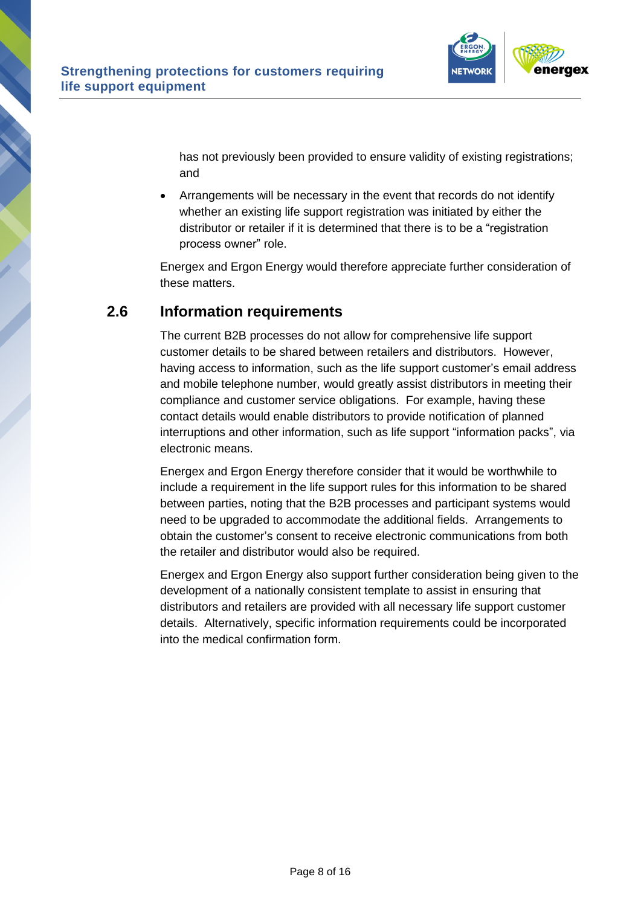

has not previously been provided to ensure validity of existing registrations; and

 Arrangements will be necessary in the event that records do not identify whether an existing life support registration was initiated by either the distributor or retailer if it is determined that there is to be a "registration process owner" role.

Energex and Ergon Energy would therefore appreciate further consideration of these matters.

#### **2.6 Information requirements**

The current B2B processes do not allow for comprehensive life support customer details to be shared between retailers and distributors. However, having access to information, such as the life support customer's email address and mobile telephone number, would greatly assist distributors in meeting their compliance and customer service obligations. For example, having these contact details would enable distributors to provide notification of planned interruptions and other information, such as life support "information packs", via electronic means.

Energex and Ergon Energy therefore consider that it would be worthwhile to include a requirement in the life support rules for this information to be shared between parties, noting that the B2B processes and participant systems would need to be upgraded to accommodate the additional fields. Arrangements to obtain the customer's consent to receive electronic communications from both the retailer and distributor would also be required.

Energex and Ergon Energy also support further consideration being given to the development of a nationally consistent template to assist in ensuring that distributors and retailers are provided with all necessary life support customer details. Alternatively, specific information requirements could be incorporated into the medical confirmation form.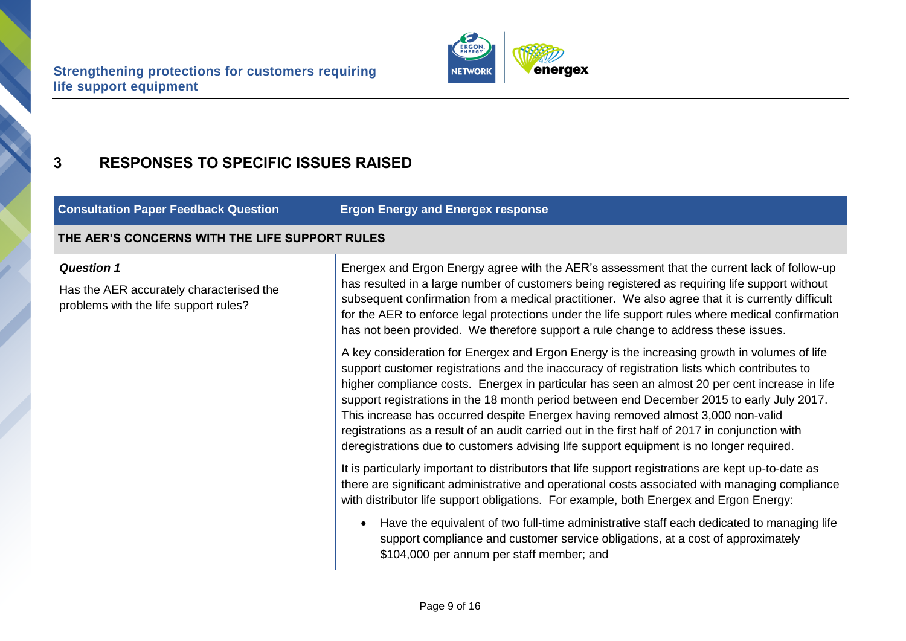

## **3 RESPONSES TO SPECIFIC ISSUES RAISED**

**Consultation Paper Feedback Question Ergon Energy and Energex response**

#### **THE AER'S CONCERNS WITH THE LIFE SUPPORT RULES**

#### *Question 1*

<span id="page-10-0"></span>Has the AER accurately characterised the problems with the life support rules?

Energex and Ergon Energy agree with the AER's assessment that the current lack of follow-up has resulted in a large number of customers being registered as requiring life support without subsequent confirmation from a medical practitioner. We also agree that it is currently difficult for the AER to enforce legal protections under the life support rules where medical confirmation has not been provided. We therefore support a rule change to address these issues.

A key consideration for Energex and Ergon Energy is the increasing growth in volumes of life support customer registrations and the inaccuracy of registration lists which contributes to higher compliance costs. Energex in particular has seen an almost 20 per cent increase in life support registrations in the 18 month period between end December 2015 to early July 2017. This increase has occurred despite Energex having removed almost 3,000 non-valid registrations as a result of an audit carried out in the first half of 2017 in conjunction with deregistrations due to customers advising life support equipment is no longer required.

It is particularly important to distributors that life support registrations are kept up-to-date as there are significant administrative and operational costs associated with managing compliance with distributor life support obligations. For example, both Energex and Ergon Energy:

 Have the equivalent of two full-time administrative staff each dedicated to managing life support compliance and customer service obligations, at a cost of approximately \$104,000 per annum per staff member; and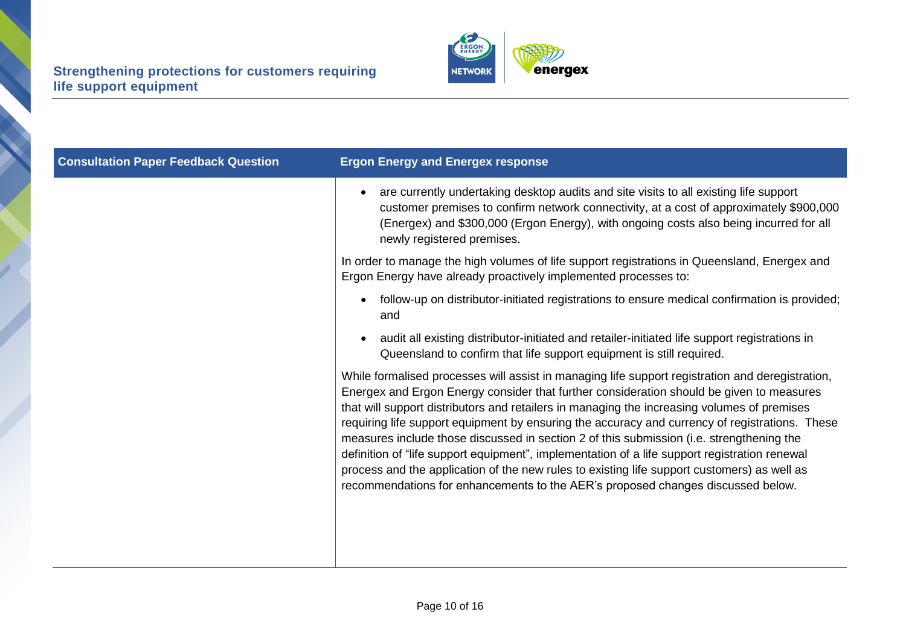

| <b>Consultation Paper Feedback Question</b> | <b>Ergon Energy and Energex response</b>                                                                                                                                                                                                                                                                                                                                                                                                                                                                                                                                                                                                                                                                                                                                     |
|---------------------------------------------|------------------------------------------------------------------------------------------------------------------------------------------------------------------------------------------------------------------------------------------------------------------------------------------------------------------------------------------------------------------------------------------------------------------------------------------------------------------------------------------------------------------------------------------------------------------------------------------------------------------------------------------------------------------------------------------------------------------------------------------------------------------------------|
|                                             | are currently undertaking desktop audits and site visits to all existing life support<br>$\bullet$<br>customer premises to confirm network connectivity, at a cost of approximately \$900,000<br>(Energex) and \$300,000 (Ergon Energy), with ongoing costs also being incurred for all<br>newly registered premises.                                                                                                                                                                                                                                                                                                                                                                                                                                                        |
|                                             | In order to manage the high volumes of life support registrations in Queensland, Energex and<br>Ergon Energy have already proactively implemented processes to:                                                                                                                                                                                                                                                                                                                                                                                                                                                                                                                                                                                                              |
|                                             | follow-up on distributor-initiated registrations to ensure medical confirmation is provided;<br>$\bullet$<br>and                                                                                                                                                                                                                                                                                                                                                                                                                                                                                                                                                                                                                                                             |
|                                             | audit all existing distributor-initiated and retailer-initiated life support registrations in<br>$\bullet$<br>Queensland to confirm that life support equipment is still required.                                                                                                                                                                                                                                                                                                                                                                                                                                                                                                                                                                                           |
|                                             | While formalised processes will assist in managing life support registration and deregistration,<br>Energex and Ergon Energy consider that further consideration should be given to measures<br>that will support distributors and retailers in managing the increasing volumes of premises<br>requiring life support equipment by ensuring the accuracy and currency of registrations. These<br>measures include those discussed in section 2 of this submission (i.e. strengthening the<br>definition of "life support equipment", implementation of a life support registration renewal<br>process and the application of the new rules to existing life support customers) as well as<br>recommendations for enhancements to the AER's proposed changes discussed below. |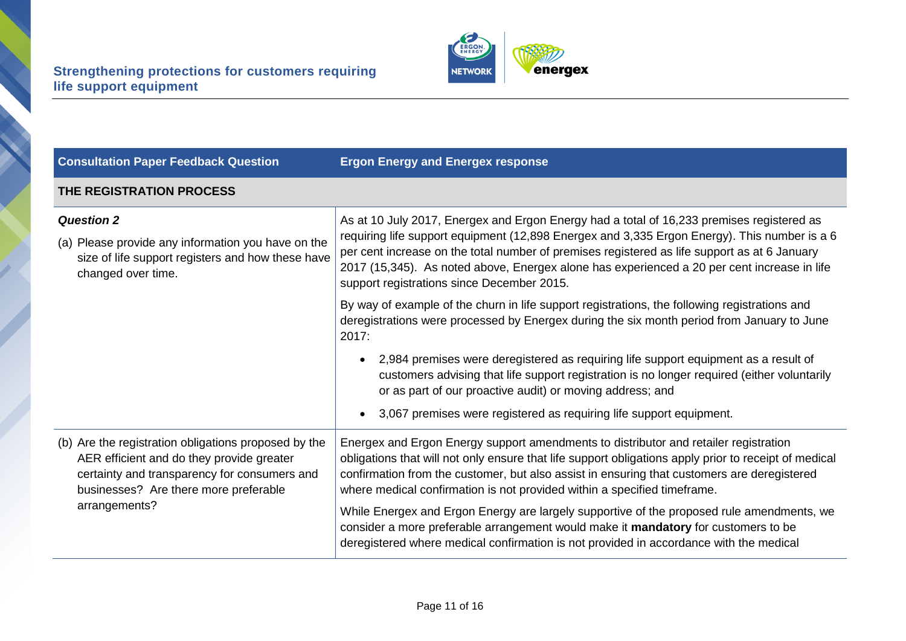

| <b>Consultation Paper Feedback Question</b>                                                                                                                                                                 | <b>Ergon Energy and Energex response</b>                                                                                                                                                                                                                                                                                                                                                                                               |
|-------------------------------------------------------------------------------------------------------------------------------------------------------------------------------------------------------------|----------------------------------------------------------------------------------------------------------------------------------------------------------------------------------------------------------------------------------------------------------------------------------------------------------------------------------------------------------------------------------------------------------------------------------------|
| THE REGISTRATION PROCESS                                                                                                                                                                                    |                                                                                                                                                                                                                                                                                                                                                                                                                                        |
| <b>Question 2</b>                                                                                                                                                                                           | As at 10 July 2017, Energex and Ergon Energy had a total of 16,233 premises registered as<br>requiring life support equipment (12,898 Energex and 3,335 Ergon Energy). This number is a 6<br>per cent increase on the total number of premises registered as life support as at 6 January<br>2017 (15,345). As noted above, Energex alone has experienced a 20 per cent increase in life<br>support registrations since December 2015. |
| (a) Please provide any information you have on the<br>size of life support registers and how these have<br>changed over time.                                                                               |                                                                                                                                                                                                                                                                                                                                                                                                                                        |
|                                                                                                                                                                                                             | By way of example of the churn in life support registrations, the following registrations and<br>deregistrations were processed by Energex during the six month period from January to June<br>2017:                                                                                                                                                                                                                                   |
|                                                                                                                                                                                                             | 2,984 premises were deregistered as requiring life support equipment as a result of<br>customers advising that life support registration is no longer required (either voluntarily<br>or as part of our proactive audit) or moving address; and                                                                                                                                                                                        |
|                                                                                                                                                                                                             | 3,067 premises were registered as requiring life support equipment.                                                                                                                                                                                                                                                                                                                                                                    |
| (b) Are the registration obligations proposed by the<br>AER efficient and do they provide greater<br>certainty and transparency for consumers and<br>businesses? Are there more preferable<br>arrangements? | Energex and Ergon Energy support amendments to distributor and retailer registration<br>obligations that will not only ensure that life support obligations apply prior to receipt of medical<br>confirmation from the customer, but also assist in ensuring that customers are deregistered<br>where medical confirmation is not provided within a specified timeframe.                                                               |
|                                                                                                                                                                                                             | While Energex and Ergon Energy are largely supportive of the proposed rule amendments, we<br>consider a more preferable arrangement would make it mandatory for customers to be<br>deregistered where medical confirmation is not provided in accordance with the medical                                                                                                                                                              |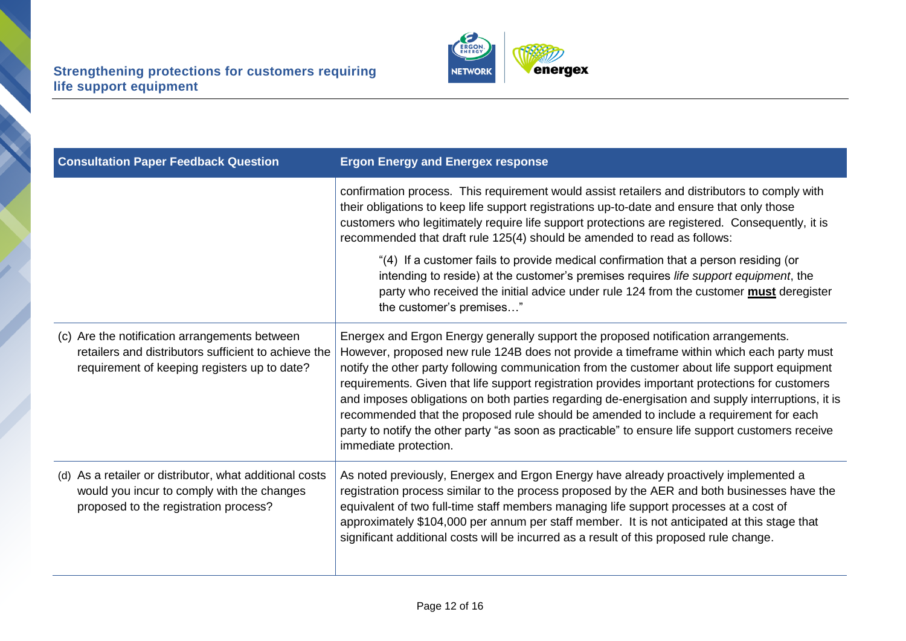

| <b>Consultation Paper Feedback Question</b>                                                                                                           | <b>Ergon Energy and Energex response</b>                                                                                                                                                                                                                                                                                                                                                                                                                                                                                                                                                                                                                                                                         |
|-------------------------------------------------------------------------------------------------------------------------------------------------------|------------------------------------------------------------------------------------------------------------------------------------------------------------------------------------------------------------------------------------------------------------------------------------------------------------------------------------------------------------------------------------------------------------------------------------------------------------------------------------------------------------------------------------------------------------------------------------------------------------------------------------------------------------------------------------------------------------------|
|                                                                                                                                                       | confirmation process. This requirement would assist retailers and distributors to comply with<br>their obligations to keep life support registrations up-to-date and ensure that only those<br>customers who legitimately require life support protections are registered. Consequently, it is<br>recommended that draft rule 125(4) should be amended to read as follows:                                                                                                                                                                                                                                                                                                                                       |
|                                                                                                                                                       | "(4) If a customer fails to provide medical confirmation that a person residing (or<br>intending to reside) at the customer's premises requires life support equipment, the<br>party who received the initial advice under rule 124 from the customer must deregister<br>the customer's premises"                                                                                                                                                                                                                                                                                                                                                                                                                |
| (c) Are the notification arrangements between<br>retailers and distributors sufficient to achieve the<br>requirement of keeping registers up to date? | Energex and Ergon Energy generally support the proposed notification arrangements.<br>However, proposed new rule 124B does not provide a timeframe within which each party must<br>notify the other party following communication from the customer about life support equipment<br>requirements. Given that life support registration provides important protections for customers<br>and imposes obligations on both parties regarding de-energisation and supply interruptions, it is<br>recommended that the proposed rule should be amended to include a requirement for each<br>party to notify the other party "as soon as practicable" to ensure life support customers receive<br>immediate protection. |
| (d) As a retailer or distributor, what additional costs<br>would you incur to comply with the changes<br>proposed to the registration process?        | As noted previously, Energex and Ergon Energy have already proactively implemented a<br>registration process similar to the process proposed by the AER and both businesses have the<br>equivalent of two full-time staff members managing life support processes at a cost of<br>approximately \$104,000 per annum per staff member. It is not anticipated at this stage that<br>significant additional costs will be incurred as a result of this proposed rule change.                                                                                                                                                                                                                                        |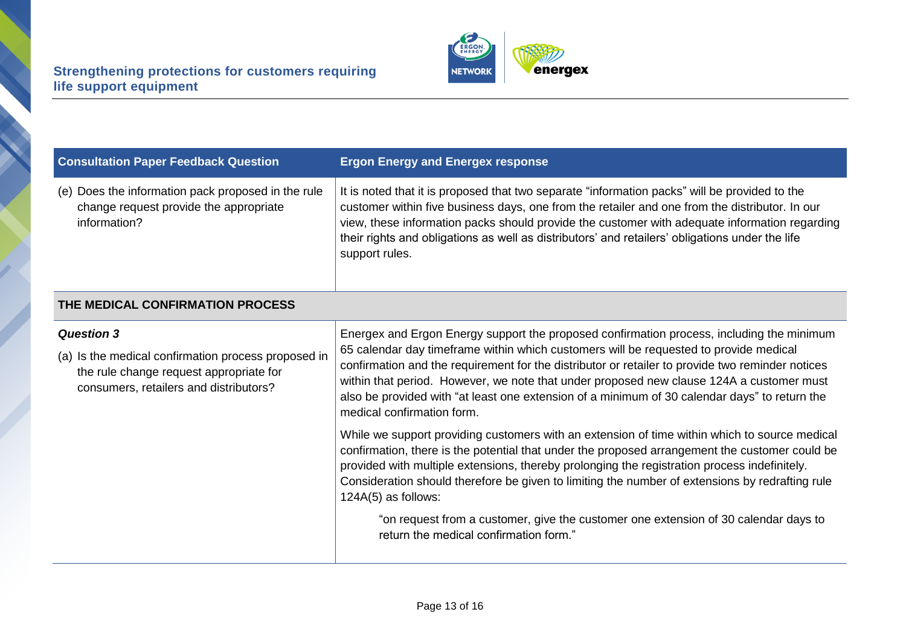

| <b>Consultation Paper Feedback Question</b>                                                                                                                   | <b>Ergon Energy and Energex response</b>                                                                                                                                                                                                                                                                                                                                                                                                                                                                          |  |  |
|---------------------------------------------------------------------------------------------------------------------------------------------------------------|-------------------------------------------------------------------------------------------------------------------------------------------------------------------------------------------------------------------------------------------------------------------------------------------------------------------------------------------------------------------------------------------------------------------------------------------------------------------------------------------------------------------|--|--|
| (e) Does the information pack proposed in the rule<br>change request provide the appropriate<br>information?                                                  | It is noted that it is proposed that two separate "information packs" will be provided to the<br>customer within five business days, one from the retailer and one from the distributor. In our<br>view, these information packs should provide the customer with adequate information regarding<br>their rights and obligations as well as distributors' and retailers' obligations under the life<br>support rules.                                                                                             |  |  |
| THE MEDICAL CONFIRMATION PROCESS                                                                                                                              |                                                                                                                                                                                                                                                                                                                                                                                                                                                                                                                   |  |  |
| <b>Question 3</b><br>(a) Is the medical confirmation process proposed in<br>the rule change request appropriate for<br>consumers, retailers and distributors? | Energex and Ergon Energy support the proposed confirmation process, including the minimum<br>65 calendar day timeframe within which customers will be requested to provide medical<br>confirmation and the requirement for the distributor or retailer to provide two reminder notices<br>within that period. However, we note that under proposed new clause 124A a customer must<br>also be provided with "at least one extension of a minimum of 30 calendar days" to return the<br>medical confirmation form. |  |  |
|                                                                                                                                                               | While we support providing customers with an extension of time within which to source medical<br>confirmation, there is the potential that under the proposed arrangement the customer could be<br>provided with multiple extensions, thereby prolonging the registration process indefinitely.<br>Consideration should therefore be given to limiting the number of extensions by redrafting rule<br>$124A(5)$ as follows:                                                                                       |  |  |
|                                                                                                                                                               | "on request from a customer, give the customer one extension of 30 calendar days to<br>return the medical confirmation form."                                                                                                                                                                                                                                                                                                                                                                                     |  |  |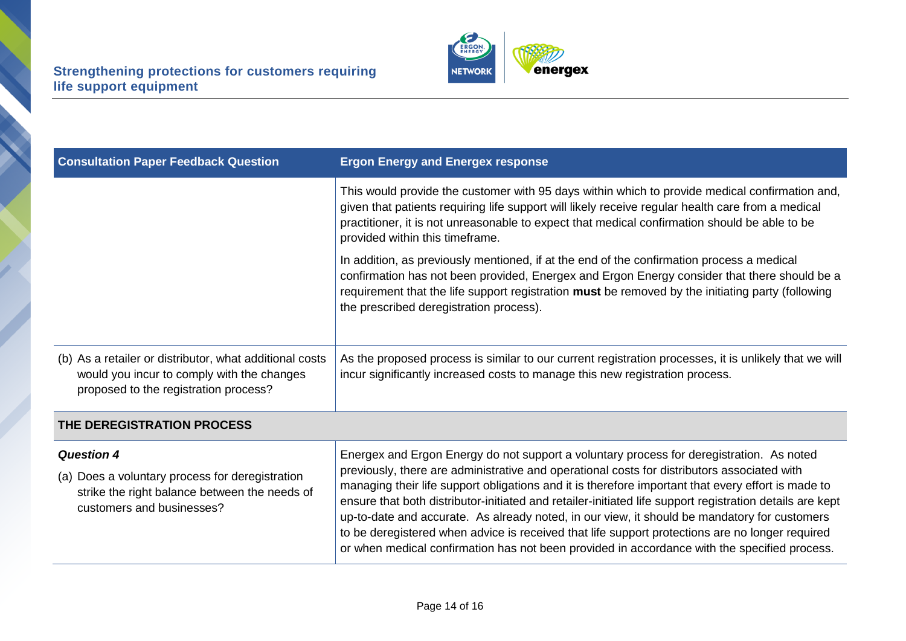**A** 



| <b>Consultation Paper Feedback Question</b>                                                                                                    | <b>Ergon Energy and Energex response</b>                                                                                                                                                                                                                                                                                                                                                                                                                                                                                                                                                                         |  |
|------------------------------------------------------------------------------------------------------------------------------------------------|------------------------------------------------------------------------------------------------------------------------------------------------------------------------------------------------------------------------------------------------------------------------------------------------------------------------------------------------------------------------------------------------------------------------------------------------------------------------------------------------------------------------------------------------------------------------------------------------------------------|--|
|                                                                                                                                                | This would provide the customer with 95 days within which to provide medical confirmation and,<br>given that patients requiring life support will likely receive regular health care from a medical<br>practitioner, it is not unreasonable to expect that medical confirmation should be able to be<br>provided within this timeframe.                                                                                                                                                                                                                                                                          |  |
|                                                                                                                                                | In addition, as previously mentioned, if at the end of the confirmation process a medical<br>confirmation has not been provided, Energex and Ergon Energy consider that there should be a<br>requirement that the life support registration must be removed by the initiating party (following<br>the prescribed deregistration process).                                                                                                                                                                                                                                                                        |  |
| (b) As a retailer or distributor, what additional costs<br>would you incur to comply with the changes<br>proposed to the registration process? | As the proposed process is similar to our current registration processes, it is unlikely that we will<br>incur significantly increased costs to manage this new registration process.                                                                                                                                                                                                                                                                                                                                                                                                                            |  |
| THE DEREGISTRATION PROCESS                                                                                                                     |                                                                                                                                                                                                                                                                                                                                                                                                                                                                                                                                                                                                                  |  |
| <b>Question 4</b>                                                                                                                              | Energex and Ergon Energy do not support a voluntary process for deregistration. As noted                                                                                                                                                                                                                                                                                                                                                                                                                                                                                                                         |  |
| (a) Does a voluntary process for deregistration<br>strike the right balance between the needs of<br>customers and businesses?                  | previously, there are administrative and operational costs for distributors associated with<br>managing their life support obligations and it is therefore important that every effort is made to<br>ensure that both distributor-initiated and retailer-initiated life support registration details are kept<br>up-to-date and accurate. As already noted, in our view, it should be mandatory for customers<br>to be deregistered when advice is received that life support protections are no longer required<br>or when medical confirmation has not been provided in accordance with the specified process. |  |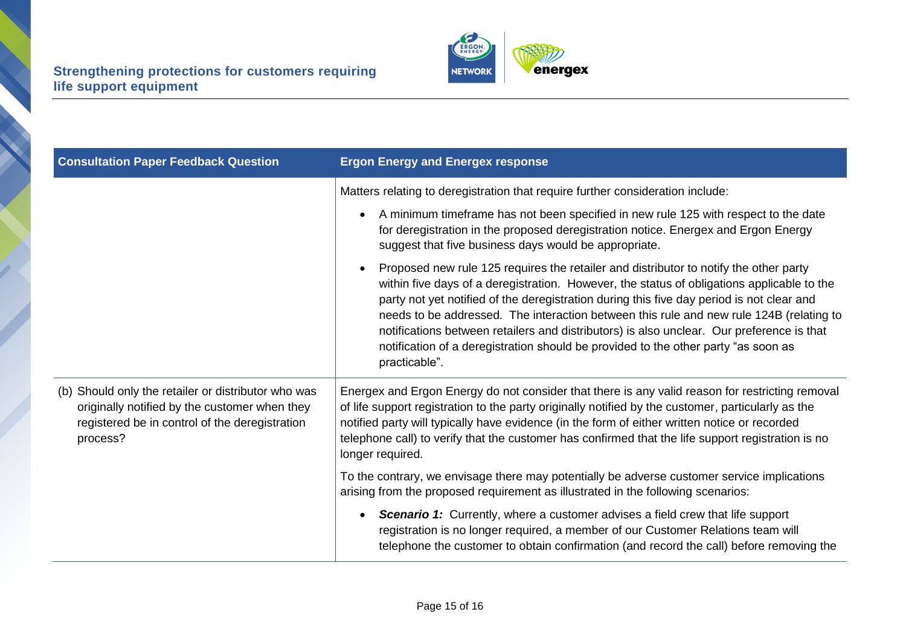

| <b>Consultation Paper Feedback Question</b>                                                                                                                        | <b>Ergon Energy and Energex response</b>                                                                                                                                                                                                                                                                                                                                                                                                                                                                                                                                        |
|--------------------------------------------------------------------------------------------------------------------------------------------------------------------|---------------------------------------------------------------------------------------------------------------------------------------------------------------------------------------------------------------------------------------------------------------------------------------------------------------------------------------------------------------------------------------------------------------------------------------------------------------------------------------------------------------------------------------------------------------------------------|
|                                                                                                                                                                    | Matters relating to deregistration that require further consideration include:                                                                                                                                                                                                                                                                                                                                                                                                                                                                                                  |
|                                                                                                                                                                    | A minimum timeframe has not been specified in new rule 125 with respect to the date<br>$\bullet$<br>for deregistration in the proposed deregistration notice. Energex and Ergon Energy<br>suggest that five business days would be appropriate.                                                                                                                                                                                                                                                                                                                                 |
|                                                                                                                                                                    | Proposed new rule 125 requires the retailer and distributor to notify the other party<br>within five days of a deregistration. However, the status of obligations applicable to the<br>party not yet notified of the deregistration during this five day period is not clear and<br>needs to be addressed. The interaction between this rule and new rule 124B (relating to<br>notifications between retailers and distributors) is also unclear. Our preference is that<br>notification of a deregistration should be provided to the other party "as soon as<br>practicable". |
| (b) Should only the retailer or distributor who was<br>originally notified by the customer when they<br>registered be in control of the deregistration<br>process? | Energex and Ergon Energy do not consider that there is any valid reason for restricting removal<br>of life support registration to the party originally notified by the customer, particularly as the<br>notified party will typically have evidence (in the form of either written notice or recorded<br>telephone call) to verify that the customer has confirmed that the life support registration is no<br>longer required.                                                                                                                                                |
|                                                                                                                                                                    | To the contrary, we envisage there may potentially be adverse customer service implications<br>arising from the proposed requirement as illustrated in the following scenarios:                                                                                                                                                                                                                                                                                                                                                                                                 |
|                                                                                                                                                                    | <b>Scenario 1:</b> Currently, where a customer advises a field crew that life support<br>$\bullet$<br>registration is no longer required, a member of our Customer Relations team will<br>telephone the customer to obtain confirmation (and record the call) before removing the                                                                                                                                                                                                                                                                                               |